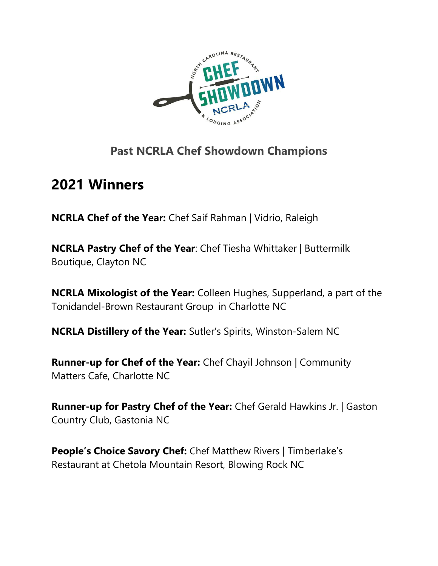

#### **Past NCRLA Chef Showdown Champions**

# **2021 Winners**

**NCRLA Chef of the Year:** Chef Saif Rahman | Vidrio, Raleigh

**NCRLA Pastry Chef of the Year**: Chef Tiesha Whittaker | Buttermilk Boutique, Clayton NC

**NCRLA Mixologist of the Year:** Colleen Hughes, Supperland, a part of the Tonidandel-Brown Restaurant Group in Charlotte NC

**NCRLA Distillery of the Year:** Sutler's Spirits, Winston-Salem NC

**Runner-up for Chef of the Year:** Chef Chayil Johnson | Community Matters Cafe, Charlotte NC

**Runner-up for Pastry Chef of the Year:** Chef Gerald Hawkins Jr. | Gaston Country Club, Gastonia NC

**People's Choice Savory Chef:** Chef Matthew Rivers | Timberlake's Restaurant at Chetola Mountain Resort, Blowing Rock NC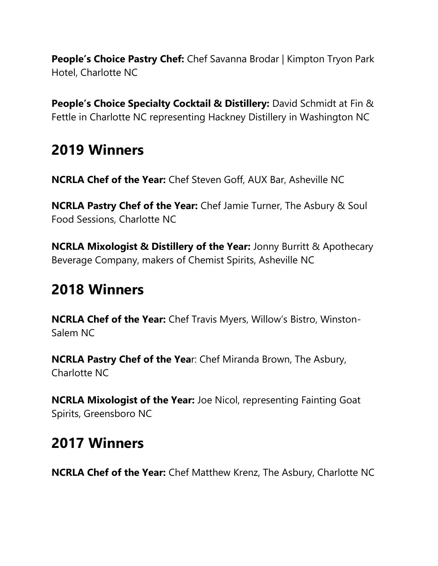**People's Choice Pastry Chef:** Chef Savanna Brodar | Kimpton Tryon Park Hotel, Charlotte NC

**People's Choice Specialty Cocktail & Distillery:** David Schmidt at Fin & Fettle in Charlotte NC representing Hackney Distillery in Washington NC

# **2019 Winners**

**NCRLA Chef of the Year:** Chef Steven Goff, AUX Bar, Asheville NC

**NCRLA Pastry Chef of the Year:** Chef Jamie Turner, The Asbury & Soul Food Sessions, Charlotte NC

**NCRLA Mixologist & Distillery of the Year:** Jonny Burritt & Apothecary Beverage Company, makers of Chemist Spirits, Asheville NC

### **2018 Winners**

**NCRLA Chef of the Year:** Chef Travis Myers, Willow's Bistro, Winston-Salem NC

**NCRLA Pastry Chef of the Yea**r: Chef Miranda Brown, The Asbury, Charlotte NC

**NCRLA Mixologist of the Year:** Joe Nicol, representing Fainting Goat Spirits, Greensboro NC

## **2017 Winners**

**NCRLA Chef of the Year:** Chef Matthew Krenz, The Asbury, Charlotte NC